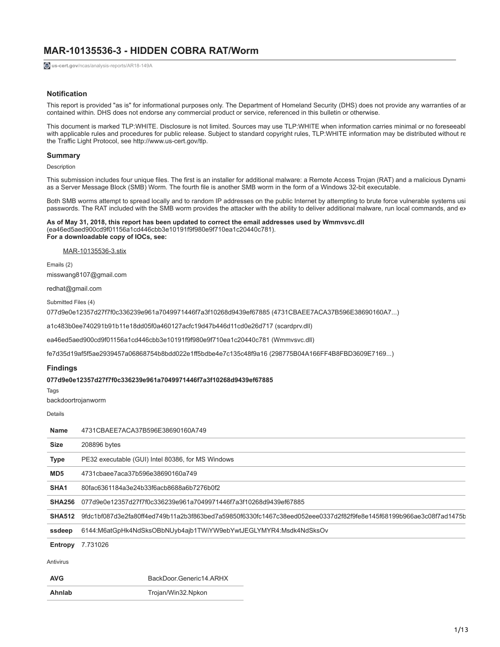# **MAR-10135536-3 - HIDDEN COBRA RAT/Worm**

**us-cert.gov**[/ncas/analysis-reports/AR18-149A](https://www.us-cert.gov/ncas/analysis-reports/AR18-149A)

# **Notification**

This report is provided "as is" for informational purposes only. The Department of Homeland Security (DHS) does not provide any warranties of an contained within. DHS does not endorse any commercial product or service, referenced in this bulletin or otherwise.

This document is marked TLP:WHITE. Disclosure is not limited. Sources may use TLP:WHITE when information carries minimal or no foreseeabl with applicable rules and procedures for public release. Subject to standard copyright rules, TLP:WHITE information may be distributed without re the Traffic Light Protocol, see http://www.us-cert.gov/tlp.

# **Summary**

Description

This submission includes four unique files. The first is an installer for additional malware: a Remote Access Trojan (RAT) and a malicious Dynami as a Server Message Block (SMB) Worm. The fourth file is another SMB worm in the form of a Windows 32-bit executable.

Both SMB worms attempt to spread locally and to random IP addresses on the public Internet by attempting to brute force vulnerable systems usi passwords. The RAT included with the SMB worm provides the attacker with the ability to deliver additional malware, run local commands, and ex

#### **As of May 31, 2018, this report has been updated to correct the email addresses used by Wmmvsvc.dll** (ea46ed5aed900cd9f01156a1cd446cbb3e10191f9f980e9f710ea1c20440c781). **For a downloadable copy of IOCs, see:**

[MAR-10135536-3.stix](https://www.us-cert.gov/sites/default/files/publications/MAR-10135536_3.xml)

Emails (2) misswang8107@gmail.com

redhat@gmail.com

Submitted Files (4)

077d9e0e12357d27f7f0c336239e961a7049971446f7a3f10268d9439ef67885 (4731CBAEE7ACA37B596E38690160A7...)

a1c483b0ee740291b91b11e18dd05f0a460127acfc19d47b446d11cd0e26d717 (scardprv.dll)

ea46ed5aed900cd9f01156a1cd446cbb3e10191f9f980e9f710ea1c20440c781 (Wmmvsvc.dll)

fe7d35d19af5f5ae2939457a06868754b8bdd022e1ff5bdbe4e7c135c48f9a16 (298775B04A166FF4B8FBD3609E7169...)

# **Findings**

### **077d9e0e12357d27f7f0c336239e961a7049971446f7a3f10268d9439ef67885**

Tags

backdoortrojanworm

Details

| <b>Name</b>      | 4731CBAEE7ACA37B596E38690160A749                                                                                  |
|------------------|-------------------------------------------------------------------------------------------------------------------|
| <b>Size</b>      | 208896 bytes                                                                                                      |
| Type             | PE32 executable (GUI) Intel 80386, for MS Windows                                                                 |
| MD <sub>5</sub>  | 4731cbaee7aca37b596e38690160a749                                                                                  |
| SHA <sub>1</sub> | 80fac6361184a3e24b33f6acb8688a6b7276b0f2                                                                          |
| <b>SHA256</b>    | 077d9e0e12357d27f7f0c336239e961a7049971446f7a3f10268d9439ef67885                                                  |
| <b>SHA512</b>    | 9fdc1bf087d3e2fa80ff4ed749b11a2b3f863bed7a59850f6330fc1467c38eed052eee0337d2f82f9fe8e145f68199b966ae3c08f7ad1475b |
| ssdeep           | 6144:M6atGpHk4NdSksOBbNUyb4ajb1TWiYW9ebYwtJEGLYMYR4:Msdk4NdSksOv                                                  |
| Entropy          | 7.731026                                                                                                          |
| Antivirus        |                                                                                                                   |
| <b>AVG</b>       | BackDoor Generic14 ARHX                                                                                           |
| Ahnlab           | Trojan/Win32.Npkon                                                                                                |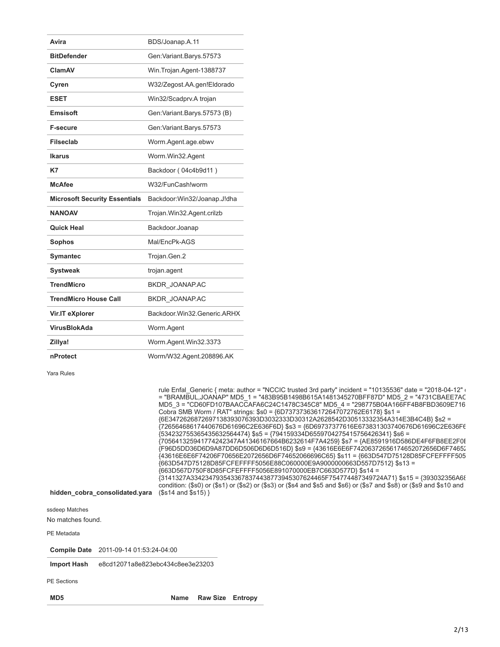| Avira                                | BDS/Joanap.A.11                |
|--------------------------------------|--------------------------------|
| <b>BitDefender</b>                   | Gen: Variant. Barys. 57573     |
| ClamAV                               | Win.Trojan.Agent-1388737       |
| Cyren                                | W32/Zegost.AA.gen!Eldorado     |
| <b>ESET</b>                          | Win32/Scadprv.A trojan         |
| <b>Emsisoft</b>                      | Gen: Variant. Barys. 57573 (B) |
| <b>F-secure</b>                      | Gen: Variant. Barys. 57573     |
| <b>Filseclab</b>                     | Worm.Agent.age.ebwv            |
| <b>Ikarus</b>                        | Worm.Win32.Agent               |
| K7                                   | Backdoor (04c4b9d11)           |
| <b>McAfee</b>                        | W32/FunCash!worm               |
| <b>Microsoft Security Essentials</b> | Backdoor:Win32/Joanap.J!dha    |
| <b>NANOAV</b>                        | Trojan.Win32.Agent.crilzb      |
| <b>Quick Heal</b>                    | Backdoor.Joanap                |
| <b>Sophos</b>                        | Mal/EncPk-AGS                  |
| <b>Symantec</b>                      | Trojan.Gen.2                   |
| <b>Systweak</b>                      | trojan.agent                   |
| <b>TrendMicro</b>                    | BKDR_JOANAP.AC                 |
| <b>TrendMicro House Call</b>         | BKDR_JOANAP.AC                 |
| Vir.IT eXplorer                      | Backdoor Win32 Generic ARHX    |
| VirusBlokAda                         | Worm.Agent                     |
| Zillya!                              | Worm.Agent.Win32.3373          |
| nProtect                             | Worm/W32.Agent.208896.AK       |

Yara Rules

|                                        | rule Enfal Generic { meta: author = "NCCIC trusted 3rd party" incident = "10135536" date = "2018-04-12" (             |
|----------------------------------------|-----------------------------------------------------------------------------------------------------------------------|
|                                        | = "BRAMBUL, JOANAP" MD5_1 = "483B95B1498B615A1481345270BFF87D" MD5_2 = "4731CBAEE7AC                                  |
|                                        | MD5 3 = "CD60FD107BAACCAFA6C24C1478C345C8" MD5 4 = "298775B04A166FF4B8FBD3609E716                                     |
|                                        | Cobra SMB Worm / RAT" strings: \$s0 = {6D737373636172647072762E6178} \$s1 =                                           |
|                                        | {6E3472626872697138393076393D3032333D30312A2628542D30513332354A314E3B4C4B} \$s2 =                                     |
|                                        | {72656468617440676D61696C2E636F6D} \$s3 = {6D69737377616E673831303740676D61696C2E636F€                                |
|                                        | {534232755365435632564474} \$s5 = {794159334D6559704275415756426341} \$s6 =                                           |
|                                        | {705641325941774242347A41346167664B6232614F7A4259} \$s7 = {AE8591916D586DE4F6FB8EE2F0I                                |
|                                        | {F96D5DD36D6D9A87DD6D506D6D6D516D} \$s9 = {43616E6E6F74206372656174652072656D6F74652                                  |
|                                        | {43616E6E6F74206F70656E2072656D6F74652066696C65} \$s11 = {663D547D75128D85FCFEFFFF505                                 |
|                                        | {663D547D75128D85FCFEFFFF5056E88C060000E9A9000000663D557D7512} \$s13 =                                                |
|                                        | {663D567D750F8D85FCFEFFFF5056E891070000EB7C663D577D}                          \$s14 =                                 |
|                                        | {3141327A3342347935433678374438773945307624465F754774487349724A71} \$s15 = {393032356A6{                              |
|                                        | condition: (\$s0) or (\$s1) or (\$s2) or (\$s3) or (\$s4 and \$s5 and \$s6) or (\$s7 and \$s8) or (\$s9 and \$s10 and |
| hidden cobra consolidated.yara         | $($s14 \text{ and } $s15)$                                                                                            |
|                                        |                                                                                                                       |
| ssdeep Matches                         |                                                                                                                       |
| No matches found.                      |                                                                                                                       |
|                                        |                                                                                                                       |
| PE Metadata                            |                                                                                                                       |
|                                        |                                                                                                                       |
| Compile Date 2011-09-14 01:53:24-04:00 |                                                                                                                       |
|                                        |                                                                                                                       |

**Import Hash** e8cd12071a8e823ebc434c8ee3e23203

PE Sections

**MD5 Name Raw Size Entropy**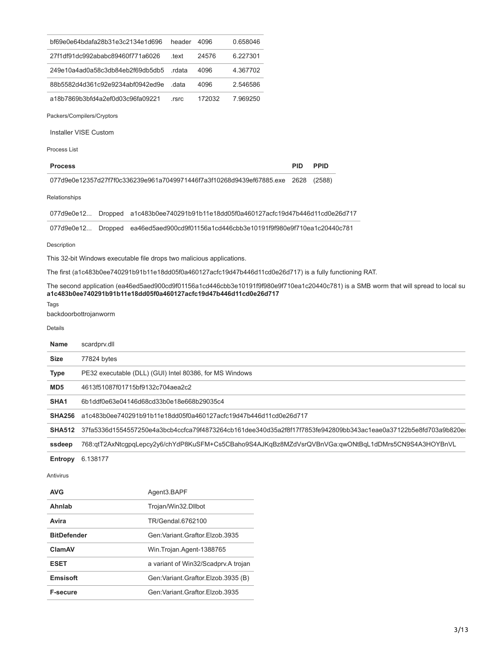|                     | bf69e0e64bdafa28b31e3c2134e1d696                                                                         | header | 4096   | 0.658046 |            |                                                                                                                                      |
|---------------------|----------------------------------------------------------------------------------------------------------|--------|--------|----------|------------|--------------------------------------------------------------------------------------------------------------------------------------|
|                     | 27f1df91dc992ababc89460f771a6026                                                                         | .text  | 24576  | 6.227301 |            |                                                                                                                                      |
|                     | 249e10a4ad0a58c3db84eb2f69db5db5                                                                         | .rdata | 4096   | 4.367702 |            |                                                                                                                                      |
|                     | 88b5582d4d361c92e9234abf0942ed9e                                                                         | .data  | 4096   | 2.546586 |            |                                                                                                                                      |
|                     | a18b7869b3bfd4a2ef0d03c96fa09221                                                                         | .rsrc  | 172032 | 7.969250 |            |                                                                                                                                      |
|                     | Packers/Compilers/Cryptors                                                                               |        |        |          |            |                                                                                                                                      |
|                     | Installer VISE Custom                                                                                    |        |        |          |            |                                                                                                                                      |
| <b>Process List</b> |                                                                                                          |        |        |          |            |                                                                                                                                      |
| <b>Process</b>      |                                                                                                          |        |        |          | <b>PID</b> | <b>PPID</b>                                                                                                                          |
|                     | 077d9e0e12357d27f7f0c336239e961a7049971446f7a3f10268d9439ef67885.exe 2628                                |        |        |          |            | (2588)                                                                                                                               |
| Relationships       |                                                                                                          |        |        |          |            |                                                                                                                                      |
| 077d9e0e12          | Dropped a1c483b0ee740291b91b11e18dd05f0a460127acfc19d47b446d11cd0e26d717                                 |        |        |          |            |                                                                                                                                      |
| 077d9e0e12          | Dropped ea46ed5aed900cd9f01156a1cd446cbb3e10191f9f980e9f710ea1c20440c781                                 |        |        |          |            |                                                                                                                                      |
| Description         |                                                                                                          |        |        |          |            |                                                                                                                                      |
|                     | This 32-bit Windows executable file drops two malicious applications.                                    |        |        |          |            |                                                                                                                                      |
|                     | The first (a1c483b0ee740291b91b11e18dd05f0a460127acfc19d47b446d11cd0e26d717) is a fully functioning RAT. |        |        |          |            |                                                                                                                                      |
| Tags                | a1c483b0ee740291b91b11e18dd05f0a460127acfc19d47b446d11cd0e26d717<br>backdoorbottrojanworm                |        |        |          |            | The second application (ea46ed5aed900cd9f01156a1cd446cbb3e10191f9f980e9f710ea1c20440c781) is a SMB worm that will spread to local su |
| Details             |                                                                                                          |        |        |          |            |                                                                                                                                      |
| Name                | scardprv.dll                                                                                             |        |        |          |            |                                                                                                                                      |
| Size                | 77824 bytes                                                                                              |        |        |          |            |                                                                                                                                      |
| <b>Type</b>         | PE32 executable (DLL) (GUI) Intel 80386, for MS Windows                                                  |        |        |          |            |                                                                                                                                      |
| MD <sub>5</sub>     | 4613f51087f01715bf9132c704aea2c2                                                                         |        |        |          |            |                                                                                                                                      |
| SHA1                | 6b1ddf0e63e04146d68cd33b0e18e668b29035c4                                                                 |        |        |          |            |                                                                                                                                      |
| <b>SHA256</b>       | a1c483b0ee740291b91b11e18dd05f0a460127acfc19d47b446d11cd0e26d717                                         |        |        |          |            |                                                                                                                                      |
| <b>SHA512</b>       |                                                                                                          |        |        |          |            | 37fa5336d1554557250e4a3bcb4ccfca79f4873264cb161dee340d35a2f8f17f7853fe942809bb343ac1eae0a37122b5e8fd703a9b820et                      |
| ssdeep              |                                                                                                          |        |        |          |            | 768:qtT2AxNtcgpqLepcy2y6/chYdP8KuSFM+Cs5CBaho9S4AJKqBz8MZdVsrQVBnVGa:qwONtBqL1dDMrs5CN9S4A3HOYBnVL                                   |
| Entropy             | 6.138177                                                                                                 |        |        |          |            |                                                                                                                                      |
| Antivirus           |                                                                                                          |        |        |          |            |                                                                                                                                      |

| <b>AVG</b>         | Agent3.BAPF                            |
|--------------------|----------------------------------------|
| Ahnlab             | Trojan/Win32.Dllbot                    |
| Avira              | TR/Gendal.6762100                      |
| <b>BitDefender</b> | Gen: Variant, Graftor, Elzob, 3935     |
| ClamAV             | Win. Trojan. Agent-1388765             |
| <b>ESET</b>        | a variant of Win32/Scadpry A trojan    |
| Emsisoft           | Gen: Variant. Graftor. Elzob. 3935 (B) |
| <b>F-secure</b>    | Gen: Variant Graftor Flzob 3935        |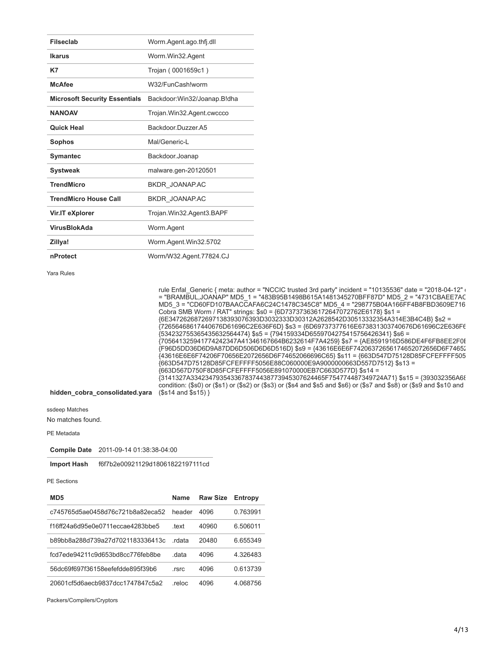| <b>Filseclab</b>                     | Worm.Agent.ago.thfj.dll     |
|--------------------------------------|-----------------------------|
| Ikarus                               | Worm.Win32.Agent            |
| K7                                   | Trojan (0001659c1)          |
| <b>McAfee</b>                        | W32/FunCashlworm            |
| <b>Microsoft Security Essentials</b> | Backdoor:Win32/Joanap.B!dha |
| <b>NANOAV</b>                        | Trojan.Win32.Agent.cwccco   |
| <b>Quick Heal</b>                    | Backdoor Duzzer A5          |
| <b>Sophos</b>                        | Mal/Generic-I               |
| <b>Symantec</b>                      | Backdoor.Joanap             |
| <b>Systweak</b>                      | malware.gen-20120501        |
| <b>TrendMicro</b>                    | BKDR JOANAP.AC              |
| <b>TrendMicro House Call</b>         | BKDR JOANAP.AC              |
| Vir.IT eXplorer                      | Trojan.Win32.Agent3.BAPF    |
| <b>VirusBlokAda</b>                  | Worm.Agent                  |
| Zillya!                              | Worm.Agent.Win32.5702       |
| nProtect                             | Worm/W32.Agent.77824.CJ     |

Yara Rules

|                                | rule Enfal Generic { meta: author = "NCCIC trusted 3rd party" incident = "10135536" date = "2018-04-12" (<br>= "BRAMBUL, JOANAP" MD5 1 = "483B95B1498B615A1481345270BFF87D" MD5 2 = "4731CBAEE7AC<br>MD5 3 = "CD60FD107BAACCAFA6C24C1478C345C8" MD5 4 = "298775B04A166FF4B8FBD3609E716<br>Cobra SMB Worm / RAT" strings: \$s0 = {6D737373636172647072762E6178} \$s1 = |
|--------------------------------|-----------------------------------------------------------------------------------------------------------------------------------------------------------------------------------------------------------------------------------------------------------------------------------------------------------------------------------------------------------------------|
|                                | {6E3472626872697138393076393D3032333D30312A2628542D30513332354A314E3B4C4B} \$s2 =<br>{72656468617440676D61696C2E636F6D} \$s3 = {6D69737377616E673831303740676D61696C2E636F€                                                                                                                                                                                           |
|                                | ${534232755365435632564474}$ \$s5 = ${794159334D6559704275415756426341}$ \$s6 =<br>{705641325941774242347A41346167664B6232614F7A4259} \$s7 = {AE8591916D586DE4F6FB8EE2F0[<br>{F96D5DD36D6D9A87DD6D506D6D6D516D} \$s9 = {43616E6E6F74206372656174652072656D6F74652                                                                                                     |
|                                | {43616E6E6F74206F70656E2072656D6F74652066696C65} \$s11 = {663D547D75128D85FCFEFFFF505<br>{663D547D75128D85FCFEFFFF5056E88C060000E9A9000000663D557D7512} \$s13 =<br>{663D567D750F8D85FCFEFFFF5056E891070000EB7C663D577D} \$s14 =                                                                                                                                       |
| hidden cobra consolidated.yara | {3141327A3342347935433678374438773945307624465F754774487349724A71} \$s15 = {393032356A6{<br>condition: (\$s0) or (\$s1) or (\$s2) or (\$s3) or (\$s4 and \$s5 and \$s6) or (\$s7 and \$s8) or (\$s9 and \$s10 and<br>$($s14 \text{ and } $s15)$                                                                                                                       |
|                                |                                                                                                                                                                                                                                                                                                                                                                       |

ssdeep Matches

No matches found.

PE Metadata

**Compile Date** 2011-09-14 01:38:38-04:00

**Import Hash** f6f7b2e00921129d18061822197111cd

PE Sections

| MD <sub>5</sub>                  | <b>Name</b> | <b>Raw Size</b> | Entropy  |
|----------------------------------|-------------|-----------------|----------|
| c745765d5ae0458d76c721b8a82eca52 | header      | 4096            | 0.763991 |
| f16ff24a6d95e0e0711eccae4283bbe5 | text        | 40960           | 6.506011 |
| b89bb8a288d739a27d7021183336413c | rdata       | 20480           | 6 655349 |
| fcd7ede94211c9d653bd8cc776feb8be | data        | 4096            | 4.326483 |
| 56dc69f697f36158eefefdde895f39b6 | .rsrc       | 4096            | 0.613739 |
| 20601cf5d6aecb9837dcc1747847c5a2 | .reloc      | 4096            | 4.068756 |

Packers/Compilers/Cryptors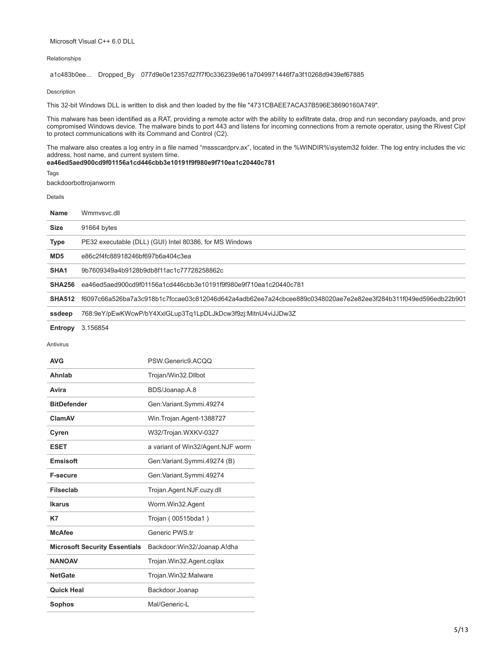## Microsoft Visual C++ 6.0 DLL

# Relationships

a1c483b0ee... Dropped\_By 077d9e0e12357d27f7f0c336239e961a7049971446f7a3f10268d9439ef67885

Description

This 32-bit Windows DLL is written to disk and then loaded by the file "4731CBAEE7ACA37B596E38690160A749".

This malware has been identified as a RAT, providing a remote actor with the ability to exfiltrate data, drop and run secondary payloads, and provi compromised Windows device. The malware binds to port 443 and listens for incoming connections from a remote operator, using the Rivest Ciph to protect communications with its Command and Control (C2).

The malware also creates a log entry in a file named "mssscardprv.ax", located in the %WINDIR%\system32 folder. The log entry includes the vic address, host name, and current system time.

# **ea46ed5aed900cd9f01156a1cd446cbb3e10191f9f980e9f710ea1c20440c781**

Tags

backdoorbottrojanworm

Details

| <b>Name</b>      | Wmmysyc.dll                                                                                                   |
|------------------|---------------------------------------------------------------------------------------------------------------|
| <b>Size</b>      | 91664 bytes                                                                                                   |
| <b>Type</b>      | PE32 executable (DLL) (GUI) Intel 80386, for MS Windows                                                       |
| MD <sub>5</sub>  | e86c2f4fc88918246bf697b6a404c3ea                                                                              |
| SHA <sub>1</sub> | 9b7609349a4b9128b9db8f11ac1c77728258862c                                                                      |
| <b>SHA256</b>    | ea46ed5aed900cd9f01156a1cd446cbb3e10191f9f980e9f710ea1c20440c781                                              |
| <b>SHA512</b>    | f6097c66a526ba7a3c918b1c7fccae03c812046d642a4adb62ee7a24cbcee889c0348020ae7e2e82ee3f284b311f049ed596edb22b901 |
| ssdeep           | 768:9eY/pEwKWcwP/bY4XxlGLup3Tq1LpDLJkDcw3f9zj:MitnU4viJJDw3Z                                                  |
| Entropy          | 3.156854                                                                                                      |

Antivirus

| <b>AVG</b>                           | PSW.Generic9.ACOO                 |
|--------------------------------------|-----------------------------------|
| Ahnlab                               | Trojan/Win32.Dllbot               |
| Avira                                | BDS/Joanap.A.8                    |
| <b>BitDefender</b>                   | Gen: Variant. Symmi. 49274        |
| ClamAV                               | Win.Trojan.Agent-1388727          |
| Cyren                                | W32/Trojan.WXKV-0327              |
| <b>ESET</b>                          | a variant of Win32/Agent.NJF worm |
| Emsisoft                             | Gen: Variant. Symmi. 49274 (B)    |
| <b>F-secure</b>                      | Gen: Variant.Symmi.49274          |
| <b>Filseclab</b>                     | Trojan.Agent.NJF.cuzy.dll         |
| Ikarus                               | Worm.Win32.Agent                  |
| K7                                   | Trojan (00515bda1)                |
| <b>McAfee</b>                        | Generic PWS.tr                    |
| <b>Microsoft Security Essentials</b> | Backdoor:Win32/Joanap.A!dha       |
| <b>NANOAV</b>                        | Trojan. Win32. Agent. cqilax      |
| <b>NetGate</b>                       | Trojan.Win32.Malware              |
| <b>Quick Heal</b>                    | Backdoor.Joanap                   |
| <b>Sophos</b>                        | Mal/Generic-I                     |
|                                      |                                   |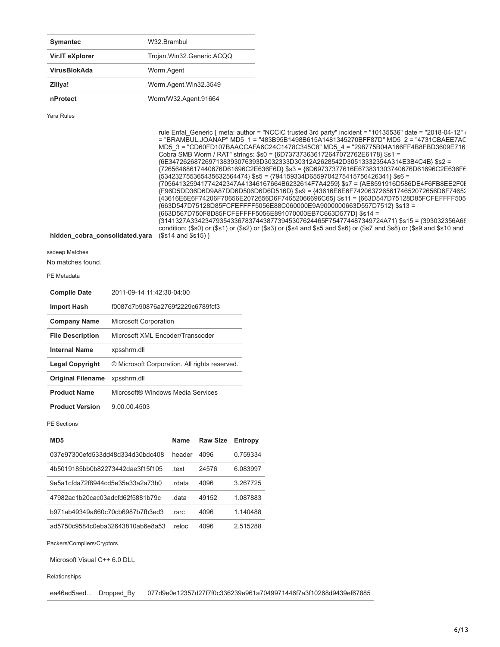| <b>Symantec</b>     | W32.Brambul               |
|---------------------|---------------------------|
| Vir.IT eXplorer     | Trojan.Win32.Generic.ACQQ |
| <b>VirusBlokAda</b> | Worm.Agent                |
| Zillya!             | Worm.Agent.Win32.3549     |
| nProtect            | Worm/W32.Agent.91664      |

Yara Rules

|                                | rule Enfal Generic { meta: author = "NCCIC trusted 3rd party" incident = "10135536" date = "2018-04-12" or            |
|--------------------------------|-----------------------------------------------------------------------------------------------------------------------|
|                                | = "BRAMBUL, JOANAP" MD5 1 = "483B95B1498B615A1481345270BFF87D" MD5 2 = "4731CBAEE7AC                                  |
|                                | MD5 3 = "CD60FD107BAACCAFA6C24C1478C345C8" MD5 4 = "298775B04A166FF4B8FBD3609E716                                     |
|                                | Cobra SMB Worm / RAT" strings: \$s0 = {6D737373636172647072762E6178} \$s1 =                                           |
|                                | {6E3472626872697138393076393D3032333D30312A2628542D30513332354A314E3B4C4B} \$s2 =                                     |
|                                | {72656468617440676D61696C2E636F6D} \$s3 = {6D69737377616E673831303740676D61696C2E636F€                                |
|                                | {534232755365435632564474} \$s5 = {794159334D6559704275415756426341} \$s6 =                                           |
|                                | {705641325941774242347A41346167664B6232614F7A4259} \$s7 = {AE8591916D586DE4F6FB8EE2F0}                                |
|                                | {F96D5DD36D6D9A87DD6D506D6D6D516D} \$s9 = {43616E6E6F74206372656174652072656D6F74652                                  |
|                                | {43616E6E6F74206F70656E2072656D6F74652066696C65} \$s11 = {663D547D75128D85FCFEFFFF505                                 |
|                                | {663D547D75128D85FCFEFFFF5056E88C060000E9A9000000663D557D7512} \$s13 =                                                |
|                                | {663D567D750F8D85FCFEFFFF5056E891070000EB7C663D577D} \$s14 =                                                          |
|                                | {3141327A3342347935433678374438773945307624465F754774487349724A71} \$s15 = {393032356A6{                              |
|                                | condition: (\$s0) or (\$s1) or (\$s2) or (\$s3) or (\$s4 and \$s5 and \$s6) or (\$s7 and \$s8) or (\$s9 and \$s10 and |
| hidden cobra consolidated.yara | $($s14 \text{ and } $s15)$                                                                                            |
|                                |                                                                                                                       |

ssdeep Matches

No matches found.

PE Metadata

| <b>Compile Date</b>      | 2011-09-14 11:42:30-04:00                     |
|--------------------------|-----------------------------------------------|
| <b>Import Hash</b>       | f0087d7b90876a2769f2229c6789fcf3              |
| <b>Company Name</b>      | <b>Microsoft Corporation</b>                  |
| <b>File Description</b>  | Microsoft XML Encoder/Transcoder              |
| <b>Internal Name</b>     | xpsshrm.dll                                   |
| <b>Legal Copyright</b>   | © Microsoft Corporation. All rights reserved. |
| <b>Original Filename</b> | xpsshrm.dll                                   |
| <b>Product Name</b>      | Microsoft® Windows Media Services             |
|                          |                                               |

**Product Version** 9.00.00.4503

PE Sections

| MD <sub>5</sub>                  | <b>Name</b> | <b>Raw Size</b> | <b>Entropy</b> |
|----------------------------------|-------------|-----------------|----------------|
| 037e97300efd533dd48d334d30bdc408 | header      | 4096            | 0.759334       |
| 4b5019185bb0b82273442dae3f15f105 | text        | 24576           | 6.083997       |
| 9e5a1cfda72f8944cd5e35e33a2a73b0 | rdata       | 4096            | 3 267725       |
| 47982ac1b20cac03adcfd62f5881b79c | data        | 49152           | 1.087883       |
| b971ab49349a660c70cb6987b7fb3ed3 | rsrc        | 4096            | 1.140488       |
| ad5750c9584c0eba32643810ab6e8a53 | reloc       | 4096            | 2515288        |

Packers/Compilers/Cryptors

Microsoft Visual C++ 6.0 DLL

Relationships

ea46ed5aed... Dropped\_By 077d9e0e12357d27f7f0c336239e961a7049971446f7a3f10268d9439ef67885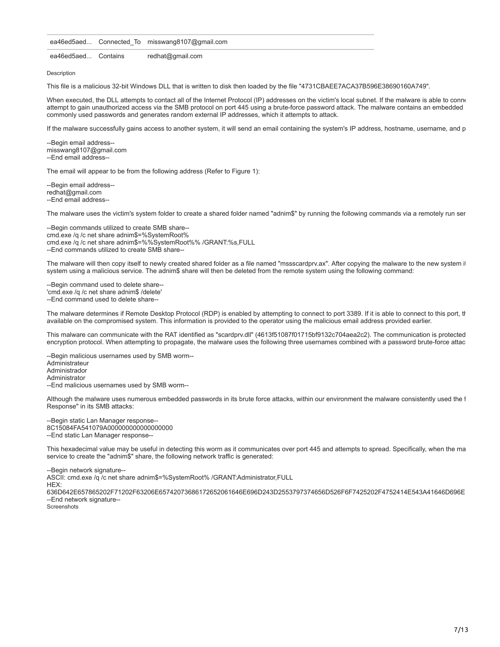ea46ed5aed... Connected To misswang8107@gmail.com

ea46ed5aed... Contains redhat@gmail.com

Description

This file is a malicious 32-bit Windows DLL that is written to disk then loaded by the file "4731CBAEE7ACA37B596E38690160A749".

When executed, the DLL attempts to contact all of the Internet Protocol (IP) addresses on the victim's local subnet. If the malware is able to conne attempt to gain unauthorized access via the SMB protocol on port 445 using a brute-force password attack. The malware contains an embedded commonly used passwords and generates random external IP addresses, which it attempts to attack.

If the malware successfully gains access to another system, it will send an email containing the system's IP address, hostname, username, and p

--Begin email address- misswang8107@gmail.com --End email address--

The email will appear to be from the following address (Refer to Figure 1):

--Begin email address- redhat@gmail.com --End email address--

The malware uses the victim's system folder to create a shared folder named "adnim\$" by running the following commands via a remotely run ser

--Begin commands utilized to create SMB share- cmd.exe /q /c net share adnim\$=%SystemRoot% cmd.exe /q /c net share adnim\$=%%SystemRoot%% /GRANT:%s,FULL --End commands utilized to create SMB share--

The malware will then copy itself to newly created shared folder as a file named "mssscardprv.ax". After copying the malware to the new system it system using a malicious service. The adnim\$ share will then be deleted from the remote system using the following command:

--Begin command used to delete share-- 'cmd.exe /q /c net share adnim\$ /delete' --End command used to delete share--

The malware determines if Remote Desktop Protocol (RDP) is enabled by attempting to connect to port 3389. If it is able to connect to this port, th available on the compromised system. This information is provided to the operator using the malicious email address provided earlier.

This malware can communicate with the RAT identified as "scardprv.dll" (4613f51087f01715bf9132c704aea2c2). The communication is protected encryption protocol. When attempting to propagate, the malware uses the following three usernames combined with a password brute-force attac

--Begin malicious usernames used by SMB worm-- Administrateur Administrador Administrator --End malicious usernames used by SMB worm--

Although the malware uses numerous embedded passwords in its brute force attacks, within our environment the malware consistently used the f Response" in its SMB attacks:

--Begin static Lan Manager response-- 8C15084FA541079A000000000000000000 --End static Lan Manager response--

This hexadecimal value may be useful in detecting this worm as it communicates over port 445 and attempts to spread. Specifically, when the ma service to create the "adnim\$" share, the following network traffic is generated:

--Begin network signature--

ASCII: cmd.exe /q /c net share adnim\$=%SystemRoot% /GRANT:Administrator,FULL

HEX:

636D642E657865202F71202F63206E65742073686172652061646E696D243D2553797374656D526F6F7425202F4752414E543A41646D696E --End network signature--

**Screenshots**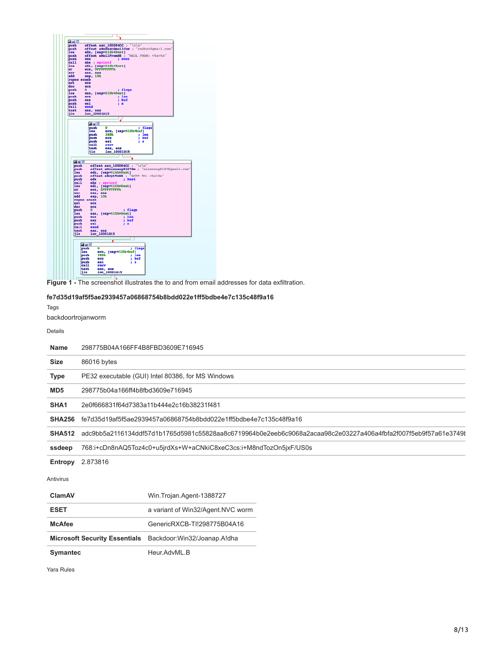

**Figure 1 -** The screenshot illustrates the to and from email addresses for data exfiltration.

# **fe7d35d19af5f5ae2939457a06868754b8bdd022e1ff5bdbe4e7c135c48f9a16**

Tags

backdoortrojanworm

Details

| <b>Name</b>      | 298775B04A166FF4B8FBD3609E716945                                                                               |  |  |
|------------------|----------------------------------------------------------------------------------------------------------------|--|--|
| <b>Size</b>      | 86016 bytes                                                                                                    |  |  |
| <b>Type</b>      | PE32 executable (GUI) Intel 80386, for MS Windows                                                              |  |  |
| MD <sub>5</sub>  | 298775b04a166ff4b8fbd3609e716945                                                                               |  |  |
| SHA <sub>1</sub> | 2e0f666831f64d7383a11b444e2c16b38231f481                                                                       |  |  |
| <b>SHA256</b>    | fe7d35d19af5f5ae2939457a06868754b8bdd022e1ff5bdbe4e7c135c48f9a16                                               |  |  |
| <b>SHA512</b>    | adc9bb5a2116134ddf57d1b1765d5981c55828aa8c6719964b0e2eeb6c9068a2acaa98c2e03227a406a4fbfa2f007f5eb9f57a61e3749l |  |  |
| ssdeep           | 768:i+cDn8nAQ5Toz4c0+u5jrdXs+W+aCNkiC8xeC3cs:i+M8ndTozOn5jxF/US0s                                              |  |  |
| Entropy          | 2.873816                                                                                                       |  |  |
| Antivirus        |                                                                                                                |  |  |
| <b>ClamAV</b>    | Win.Trojan.Agent-1388727                                                                                       |  |  |
| <b>ESET</b>      | a variant of Win32/Agent.NVC worm                                                                              |  |  |
| <b>McAfee</b>    | GenericRXCB-TI!298775B04A16                                                                                    |  |  |

**Microsoft Security Essentials** Backdoor:Win32/Joanap.A!dha

Symantec Heur.AdvML.B

Yara Rules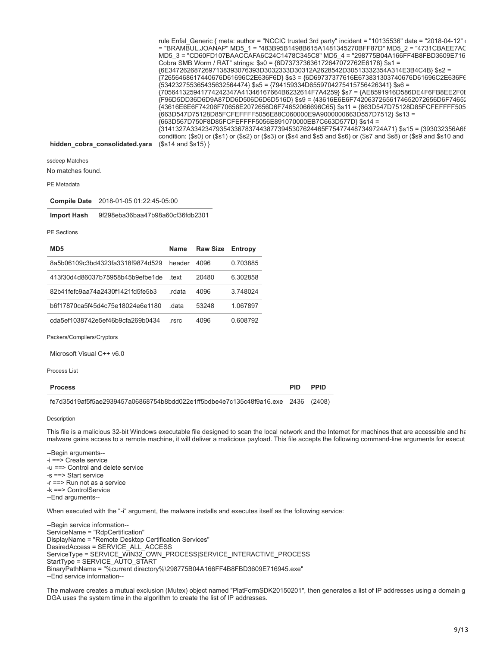rule Enfal\_Generic { meta: author = "NCCIC trusted 3rd party" incident = "10135536" date = "2018-04-12" c = "BRAMBUL,JOANAP" MD5\_1 = "483B95B1498B615A1481345270BFF87D" MD5\_2 = "4731CBAEE7AC MD5\_3 = "CD60FD107BAACCAFA6C24C1478C345C8" MD5\_4 = "298775B04A166FF4B8FBD3609E716 Cobra SMB Worm / RAT" strings: \$s0 = {6D737373636172647072762E6178} \$s1 = {6E3472626872697138393076393D3032333D30312A2628542D30513332354A314E3B4C4B} \$s2 = {72656468617440676D61696C2E636F6D} \$s3 = {6D69737377616E673831303740676D61696C2E636F6 {534232755365435632564474} \$s5 = {794159334D6559704275415756426341} \$s6 = {705641325941774242347A41346167664B6232614F7A4259} \$s7 = {AE8591916D586DE4F6FB8EE2F0B {F96D5DD36D6D9A87DD6D506D6D6D516D} \$s9 = {43616E6E6F74206372656174652072656D6F74652 {43616E6E6F74206F70656E2072656D6F74652066696C65} \$s11 = {663D547D75128D85FCFEFFFF505 {663D547D75128D85FCFEFFFF5056E88C060000E9A9000000663D557D7512} \$s13 = {663D567D750F8D85FCFEFFFF5056E891070000EB7C663D577D} \$s14 = {3141327A3342347935433678374438773945307624465F754774487349724A71} \$s15 = {393032356A68 condition: (\$s0) or (\$s1) or (\$s2) or (\$s3) or (\$s4 and \$s5 and \$s6) or (\$s7 and \$s8) or (\$s9 and \$s10 and

#### **hidden\_cobra\_consolidated.yara** (\$s14 and \$s15) }

ssdeep Matches

No matches found.

PE Metadata

**Compile Date** 2018-01-05 01:22:45-05:00

**Import Hash** 9f298eba36baa47b98a60cf36fdb2301

#### PE Sections

| MD <sub>5</sub>                  | Name   | <b>Raw Size</b> | Entropy  |
|----------------------------------|--------|-----------------|----------|
| 8a5b06109c3bd4323fa3318f9874d529 | header | 4096            | 0.703885 |
| 413f30d4d86037b75958b45b9efbe1de | text   | 20480           | 6.302858 |
| 82b41fefc9aa74a2430f1421fd5fe5b3 | rdata  | 4096            | 3.748024 |
| b6f17870ca5f45d4c75e18024e6e1180 | data   | 53248           | 1.067897 |
| cda5ef1038742e5ef46b9cfa269b0434 | rsrc   | 4096            | 0.608792 |

Packers/Compilers/Cryptors

Microsoft Visual C++ v6.0

Process List

#### **Process PID PPID**

| fe7d35d19af5f5ae2939457a06868754b8bdd022e1ff5bdbe4e7c135c48f9a16 exe 2436 (2408) |  |  |
|----------------------------------------------------------------------------------|--|--|

#### Description

This file is a malicious 32-bit Windows executable file designed to scan the local network and the Internet for machines that are accessible and ha malware gains access to a remote machine, it will deliver a malicious payload. This file accepts the following command-line arguments for execut

--Begin arguments-- -i ==> Create service -u ==> Control and delete service -s ==> Start service -r ==> Run not as a service -k ==> ControlService

--End arguments--

When executed with the "-i" argument, the malware installs and executes itself as the following service:

--Begin service information-- ServiceName = "RdpCertification" DisplayName = "Remote Desktop Certification Services" DesiredAccess = SERVICE\_ALL\_ACCESS ServiceType = SERVICE\_WIN32\_OWN\_PROCESS|SERVICE\_INTERACTIVE\_PROCESS StartType = SERVICE\_AUTO\_START BinaryPathName = "%current directory%\298775B04A166FF4B8FBD3609E716945.exe" --End service information--

The malware creates a mutual exclusion (Mutex) object named "PlatFormSDK20150201", then generates a list of IP addresses using a domain g DGA uses the system time in the algorithm to create the list of IP addresses.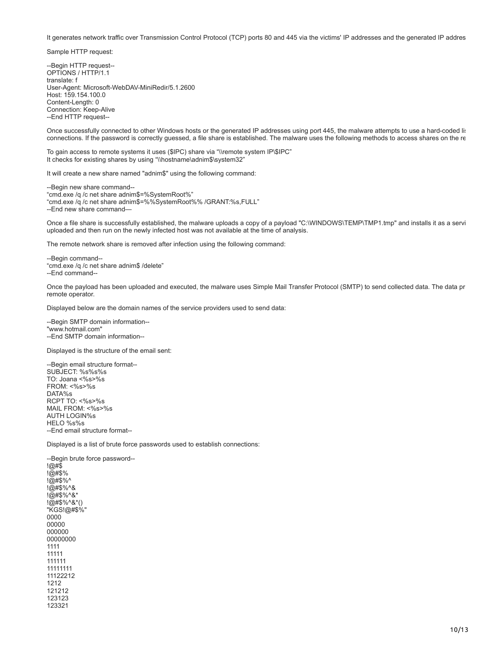It generates network traffic over Transmission Control Protocol (TCP) ports 80 and 445 via the victims' IP addresses and the generated IP addres

Sample HTTP request:

--Begin HTTP request-- OPTIONS / HTTP/1.1 translate: f User-Agent: Microsoft-WebDAV-MiniRedir/5.1.2600 Host: 159.154.100.0 Content-Length: 0 Connection: Keep-Alive --End HTTP request--

Once successfully connected to other Windows hosts or the generated IP addresses using port 445, the malware attempts to use a hard-coded lis connections. If the password is correctly guessed, a file share is established. The malware uses the following methods to access shares on the re

To gain access to remote systems it uses (\$IPC) share via "\\remote system IP\\$IPC" It checks for existing shares by using "\\hostname\adnim\$\system32"

It will create a new share named "adnim\$" using the following command:

--Begin new share command-- "cmd.exe /q /c net share adnim\$=%SystemRoot%" "cmd.exe /q /c net share adnim\$=%%SystemRoot%% /GRANT:%s,FULL" --End new share command—

Once a file share is successfully established, the malware uploads a copy of a payload "C:\WINDOWS\TEMP\TMP1.tmp" and installs it as a servi uploaded and then run on the newly infected host was not available at the time of analysis.

The remote network share is removed after infection using the following command:

--Begin command-- "cmd.exe /q /c net share adnim\$ /delete" --End command--

Once the payload has been uploaded and executed, the malware uses Simple Mail Transfer Protocol (SMTP) to send collected data. The data pr remote operator.

Displayed below are the domain names of the service providers used to send data:

--Begin SMTP domain information-- "www.hotmail.com" --End SMTP domain information--

Displayed is the structure of the email sent:

--Begin email structure format-- SUBJECT: %s%s%s TO: Joana <%s>%s FROM: <%s>%s DATA%s RCPT TO: <%s>%s MAIL FROM: <%s>%s AUTH LOGIN%s HELO %s%s --End email structure format--

Displayed is a list of brute force passwords used to establish connections:

--Begin brute force password--  $!@#\$$ !@#\$% !@#\$%^ !@#\$%^& !@#\$%^&\* !@#\$%^&\*() "KGS!@#\$%" 0000 00000 000000 00000000 1111 11111 111111 11111111 11122212 1212 121212 123123 123321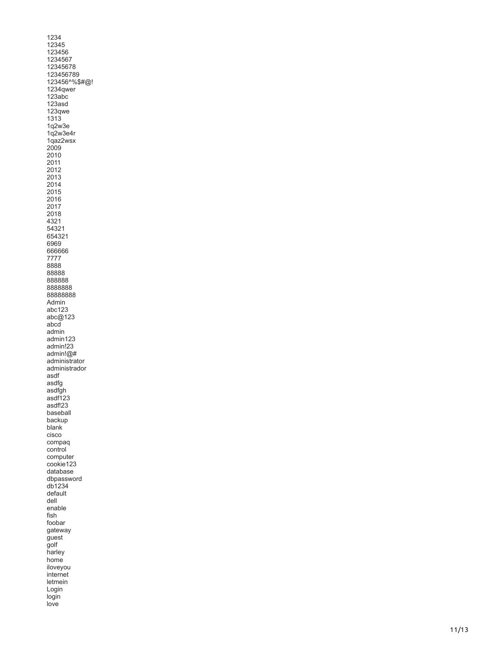1234 12345 123456 1234567 12345678 123456789 123456^%\$#@! 1234qwer 123abc 123asd 123qwe 1313 1q2w3e 1q2w3e4r 1qaz2wsx 2009 2010 201 1 2012 2013 2014 2015 2016 2017 2018 4321 54321 654321 6969 666666 7777 8888 88888 888888 8888888 88888888 Admin abc123 abc@123 abcd admin admin123 admin!23 admin!@# administrator administrador asdf asdfg asdfgh asdf123 asdf!23 baseball backup blank cisco compaq control computer cookie123 database dbpassword db1234 default dell enable fish foobar gateway guest golf harley home iloveyou internet letmein Login login love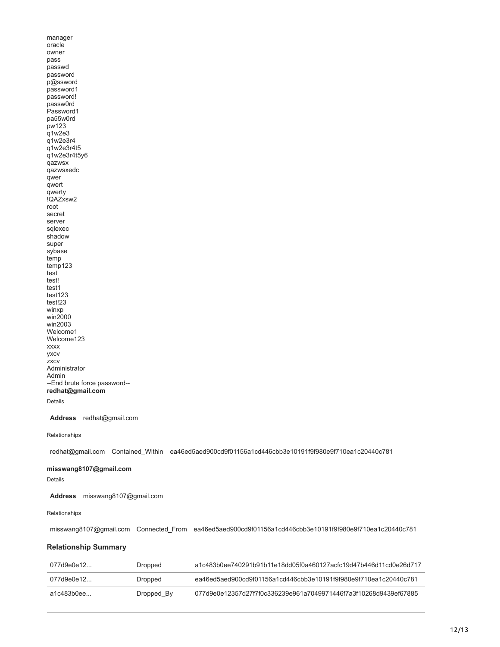manager oracle owner pass passwd password p@ssword password1 password! passw0rd Password1 pa55w0rd pw123 q1w2e3  $q1w2e3r4$ q1w2e3r4t5 q1w2e3r4t5y6 qazwsx qazwsxedc qwer qwert qwerty !QAZxsw2 root secret server sqlexec shadow super sybase temp temp123 test test! test1 test123 test!23 winxp win2000 win2003 Welcome1 Welcome123 xxxx yxcv zxcv Administrator Admin --End brute force password- **redhat@gmail.com**

# Details

**Address** redhat@gmail.com

#### Relationships

redhat@gmail.com Contained\_Within ea46ed5aed900cd9f01156a1cd446cbb3e10191f9f980e9f710ea1c20440c781

# **misswang8107@gmail.com**

Details

**Address** misswang8107@gmail.com

#### Relationships

misswang8107@gmail.com Connected\_From ea46ed5aed900cd9f01156a1cd446cbb3e10191f9f980e9f710ea1c20440c781

### **Relationship Summary**

| 077d9e0e12 | Dropped    | a1c483b0ee740291b91b11e18dd05f0a460127acfc19d47b446d11cd0e26d717 |
|------------|------------|------------------------------------------------------------------|
| 077d9e0e12 | Dropped    | ea46ed5aed900cd9f01156a1cd446cbb3e10191f9f980e9f710ea1c20440c781 |
| a1c483b0ee | Dropped By | 077d9e0e12357d27f7f0c336239e961a7049971446f7a3f10268d9439ef67885 |